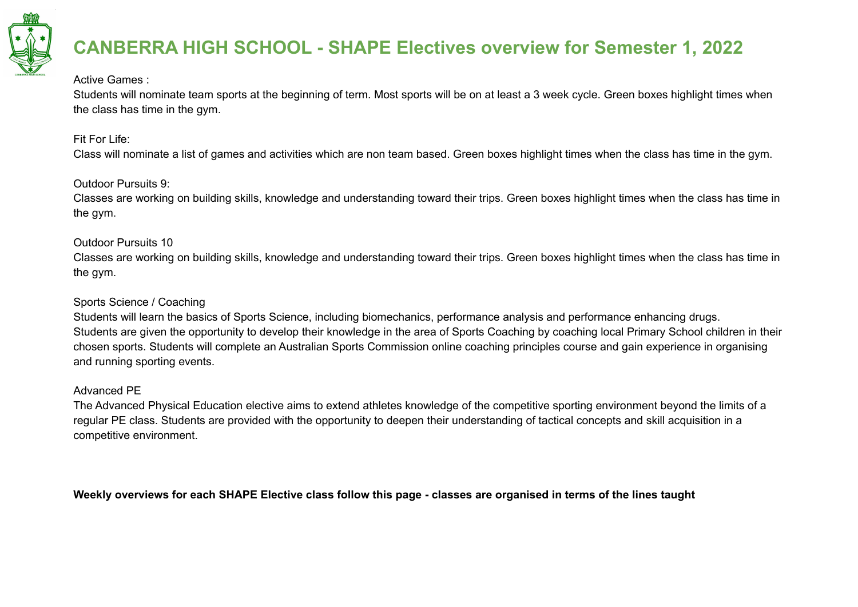

#### Active Games :

Students will nominate team sports at the beginning of term. Most sports will be on at least a 3 week cycle. Green boxes highlight times when the class has time in the gym.

#### Fit For Life:

Class will nominate a list of games and activities which are non team based. Green boxes highlight times when the class has time in the gym.

#### Outdoor Pursuits 9:

Classes are working on building skills, knowledge and understanding toward their trips. Green boxes highlight times when the class has time in the gym.

#### Outdoor Pursuits 10

Classes are working on building skills, knowledge and understanding toward their trips. Green boxes highlight times when the class has time in the gym.

#### Sports Science / Coaching

Students will learn the basics of Sports Science, including biomechanics, performance analysis and performance enhancing drugs. Students are given the opportunity to develop their knowledge in the area of Sports Coaching by coaching local Primary School children in their chosen sports. Students will complete an Australian Sports Commission online coaching principles course and gain experience in organising and running sporting events.

#### Advanced PE

The Advanced Physical Education elective aims to extend athletes knowledge of the competitive sporting environment beyond the limits of a regular PE class. Students are provided with the opportunity to deepen their understanding of tactical concepts and skill acquisition in a competitive environment.

Weekly overviews for each SHAPE Elective class follow this page - classes are organised in terms of the lines taught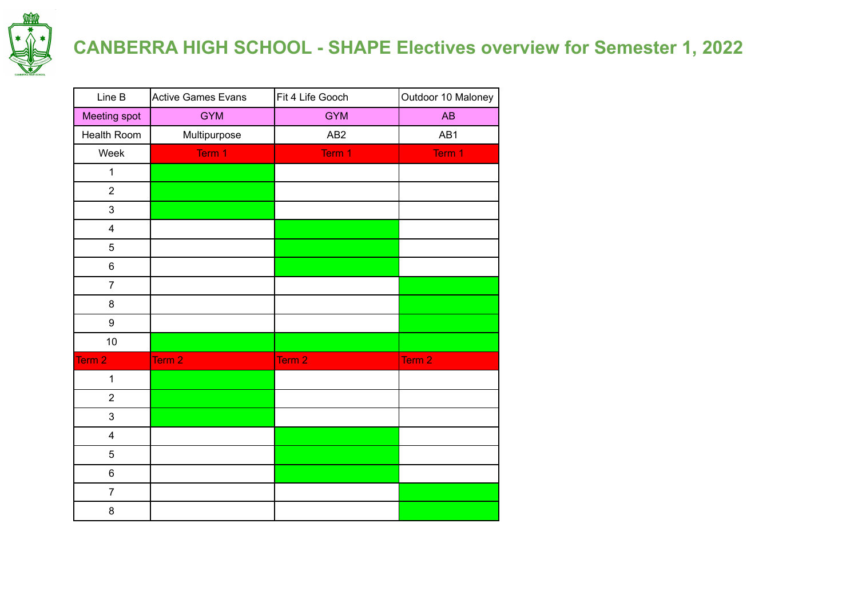

| Line B                  | <b>Active Games Evans</b> | Fit 4 Life Gooch | Outdoor 10 Maloney |
|-------------------------|---------------------------|------------------|--------------------|
| Meeting spot            | <b>GYM</b>                | <b>GYM</b>       | AB                 |
| Health Room             | Multipurpose              | AB <sub>2</sub>  | AB1                |
| Week                    | Term 1                    | Term 1           | Term 1             |
| $\mathbf{1}$            |                           |                  |                    |
| $\overline{2}$          |                           |                  |                    |
| 3                       |                           |                  |                    |
| $\overline{\mathbf{4}}$ |                           |                  |                    |
| 5                       |                           |                  |                    |
| 6                       |                           |                  |                    |
| $\overline{7}$          |                           |                  |                    |
| 8                       |                           |                  |                    |
| 9                       |                           |                  |                    |
| 10                      |                           |                  |                    |
| Term <sub>2</sub>       | Term 2                    | Term 2           | Term 2             |
| $\mathbf{1}$            |                           |                  |                    |
| $\overline{2}$          |                           |                  |                    |
| 3                       |                           |                  |                    |
| $\overline{\mathbf{4}}$ |                           |                  |                    |
| 5                       |                           |                  |                    |
| 6                       |                           |                  |                    |
| $\overline{7}$          |                           |                  |                    |
| 8                       |                           |                  |                    |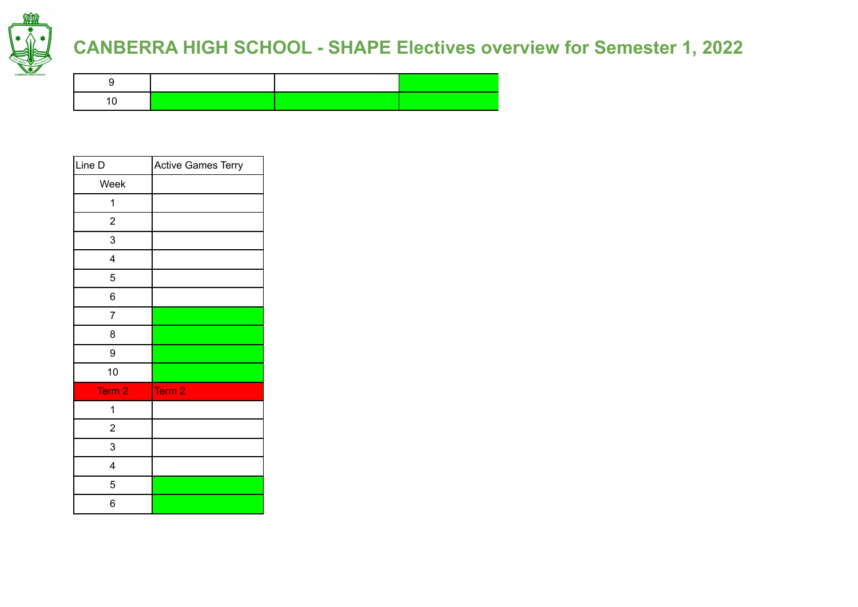

| Line D                  | <b>Active Games Terry</b> |
|-------------------------|---------------------------|
| Week                    |                           |
| 1                       |                           |
| $\overline{\mathbf{c}}$ |                           |
| 3                       |                           |
| 4                       |                           |
| 5                       |                           |
| 6                       |                           |
| $\overline{7}$          |                           |
| 8                       |                           |
| 9                       |                           |
| 10                      |                           |
| Term 2                  | Term <sub>2</sub>         |
| 1                       |                           |
| $\overline{\mathbf{c}}$ |                           |
| 3                       |                           |
| 4                       |                           |
| 5                       |                           |
| 6                       |                           |